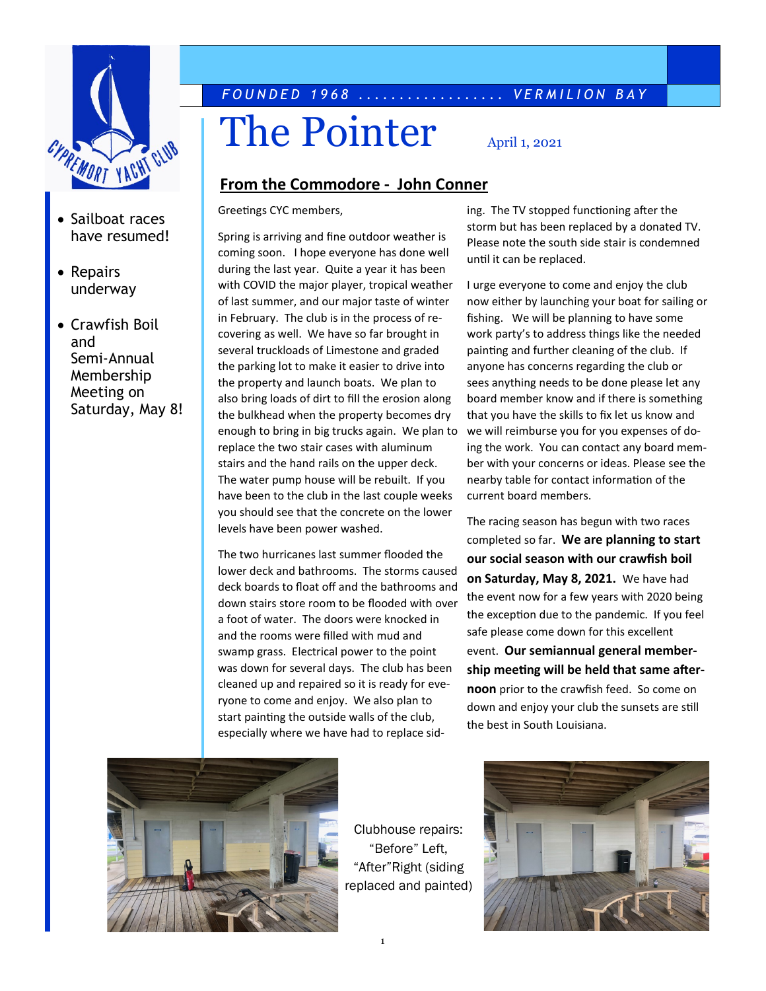

- Sailboat races have resumed!
- Repairs underway
- Crawfish Boil and Semi-Annual Membership Meeting on Saturday, May 8!

# *F O U N D E D 1 9 6 8 . . . . . . . . . . . . . . . . . . V E R M I L I O N B A Y*

# The Pointer  $\sum_{\text{April 1, 2021}}$

#### **From the Commodore - John Conner**

Greetings CYC members,

Spring is arriving and fine outdoor weather is coming soon. I hope everyone has done well during the last year. Quite a year it has been with COVID the major player, tropical weather of last summer, and our major taste of winter in February. The club is in the process of recovering as well. We have so far brought in several truckloads of Limestone and graded the parking lot to make it easier to drive into the property and launch boats. We plan to also bring loads of dirt to fill the erosion along the bulkhead when the property becomes dry enough to bring in big trucks again. We plan to replace the two stair cases with aluminum stairs and the hand rails on the upper deck. The water pump house will be rebuilt. If you have been to the club in the last couple weeks you should see that the concrete on the lower levels have been power washed.

The two hurricanes last summer flooded the lower deck and bathrooms. The storms caused deck boards to float off and the bathrooms and down stairs store room to be flooded with over a foot of water. The doors were knocked in and the rooms were filled with mud and swamp grass. Electrical power to the point was down for several days. The club has been cleaned up and repaired so it is ready for everyone to come and enjoy. We also plan to start painting the outside walls of the club, especially where we have had to replace siding. The TV stopped functioning after the storm but has been replaced by a donated TV. Please note the south side stair is condemned until it can be replaced.

I urge everyone to come and enjoy the club now either by launching your boat for sailing or fishing. We will be planning to have some work party's to address things like the needed painting and further cleaning of the club. If anyone has concerns regarding the club or sees anything needs to be done please let any board member know and if there is something that you have the skills to fix let us know and we will reimburse you for you expenses of doing the work. You can contact any board member with your concerns or ideas. Please see the nearby table for contact information of the current board members.

The racing season has begun with two races completed so far. **We are planning to start our social season with our crawfish boil on Saturday, May 8, 2021.** We have had the event now for a few years with 2020 being the exception due to the pandemic. If you feel safe please come down for this excellent event. **Our semiannual general membership meeting will be held that same afternoon** prior to the crawfish feed. So come on down and enjoy your club the sunsets are still the best in South Louisiana.



Clubhouse repairs: "Before" Left, "After"Right (siding replaced and painted)